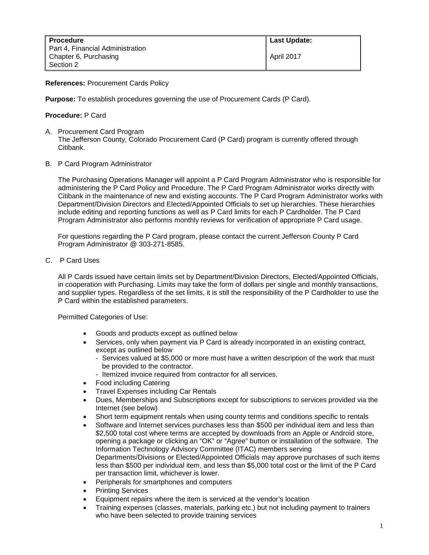**References:** Procurement Cards Policy

**Purpose:** To establish procedures governing the use of Procurement Cards (P Card).

# **Procedure:** P Card

- A. Procurement Card Program The Jefferson County, Colorado Procurement Card (P Card) program is currently offered through Citibank.
- B. P Card Program Administrator

The Purchasing Operations Manager will appoint a P Card Program Administrator who is responsible for administering the P Card Policy and Procedure. The P Card Program Administrator works directly with Citibank in the maintenance of new and existing accounts. The P Card Program Administrator works with Department/Division Directors and Elected/Appointed Officials to set up hierarchies. These hierarchies include editing and reporting functions as well as P Card limits for each P Cardholder. The P Card Program Administrator also performs monthly reviews for verification of appropriate P Card usage.

For questions regarding the P Card program, please contact the current Jefferson County P Card Program Administrator @ 303-271-8585.

C. P Card Uses

All P Cards issued have certain limits set by Department/Division Directors, Elected/Appointed Officials, in cooperation with Purchasing. Limits may take the form of dollars per single and monthly transactions, and supplier types. Regardless of the set limits, it is still the responsibility of the P Cardholder to use the P Card within the established parameters.

Permitted Categories of Use:

- Goods and products except as outlined below
- Services, only when payment via P Card is already incorporated in an existing contract, except as outlined below
	- Services valued at \$5,000 or more must have a written description of the work that must be provided to the contractor.
	- Itemized invoice required from contractor for all services.
- Food including Catering
- Travel Expenses including Car Rentals
- Dues, Memberships and Subscriptions except for subscriptions to services provided via the Internet (see below)
- Short term equipment rentals when using county terms and conditions specific to rentals
- Software and Internet services purchases less than \$500 per individual item and less than \$2,500 total cost where terms are accepted by downloads from an Apple or Android store, opening a package or clicking an "OK" or "Agree" button or installation of the software. The Information Technology Advisory Committee (ITAC) members serving Departments/Divisions or Elected/Appointed Officials may approve purchases of such items less than \$500 per individual item, and less than \$5,000 total cost or the limit of the P Card per transaction limit, whichever is lower.
- Peripherals for smartphones and computers
- **Printing Services**
- Equipment repairs where the item is serviced at the vendor's location
- Training expenses (classes, materials, parking etc.) but not including payment to trainers who have been selected to provide training services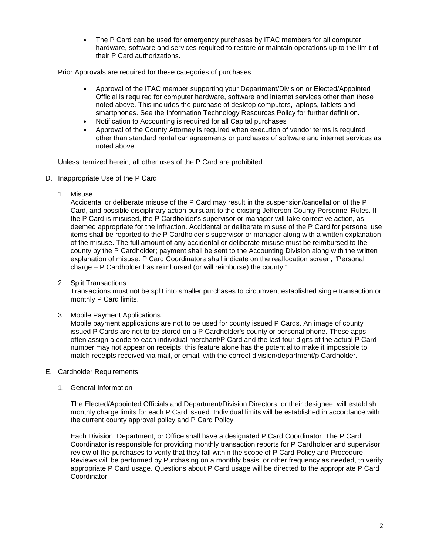• The P Card can be used for emergency purchases by ITAC members for all computer hardware, software and services required to restore or maintain operations up to the limit of their P Card authorizations.

Prior Approvals are required for these categories of purchases:

- Approval of the ITAC member supporting your Department/Division or Elected/Appointed Official is required for computer hardware, software and internet services other than those noted above. This includes the purchase of desktop computers, laptops, tablets and smartphones. See the Information Technology Resources Policy for further definition.
- Notification to Accounting is required for all Capital purchases
- Approval of the County Attorney is required when execution of vendor terms is required other than standard rental car agreements or purchases of software and internet services as noted above.

Unless itemized herein, all other uses of the P Card are prohibited.

- D. Inappropriate Use of the P Card
	- 1. Misuse

Accidental or deliberate misuse of the P Card may result in the suspension/cancellation of the P Card, and possible disciplinary action pursuant to the existing Jefferson County Personnel Rules. If the P Card is misused, the P Cardholder's supervisor or manager will take corrective action, as deemed appropriate for the infraction. Accidental or deliberate misuse of the P Card for personal use items shall be reported to the P Cardholder's supervisor or manager along with a written explanation of the misuse. The full amount of any accidental or deliberate misuse must be reimbursed to the county by the P Cardholder; payment shall be sent to the Accounting Division along with the written explanation of misuse. P Card Coordinators shall indicate on the reallocation screen, "Personal charge – P Cardholder has reimbursed (or will reimburse) the county."

2. Split Transactions

Transactions must not be split into smaller purchases to circumvent established single transaction or monthly P Card limits.

3. Mobile Payment Applications

Mobile payment applications are not to be used for county issued P Cards. An image of county issued P Cards are not to be stored on a P Cardholder's county or personal phone. These apps often assign a code to each individual merchant/P Card and the last four digits of the actual P Card number may not appear on receipts; this feature alone has the potential to make it impossible to match receipts received via mail, or email, with the correct division/department/p Cardholder.

- E. Cardholder Requirements
	- 1. General Information

The Elected/Appointed Officials and Department/Division Directors, or their designee, will establish monthly charge limits for each P Card issued. Individual limits will be established in accordance with the current county approval policy and P Card Policy.

Each Division, Department, or Office shall have a designated P Card Coordinator. The P Card Coordinator is responsible for providing monthly transaction reports for P Cardholder and supervisor review of the purchases to verify that they fall within the scope of P Card Policy and Procedure. Reviews will be performed by Purchasing on a monthly basis, or other frequency as needed, to verify appropriate P Card usage. Questions about P Card usage will be directed to the appropriate P Card Coordinator.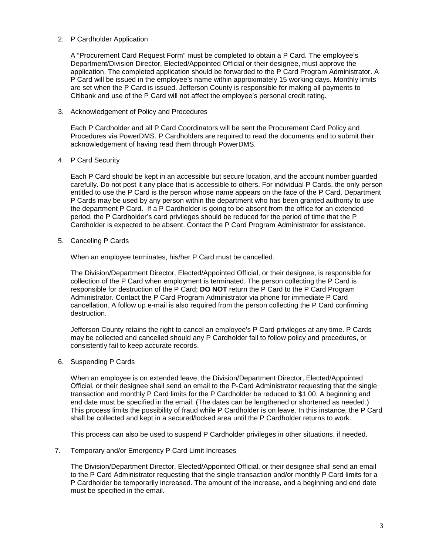### 2. P Cardholder Application

A "Procurement Card Request Form" must be completed to obtain a P Card. The employee's Department/Division Director, Elected/Appointed Official or their designee, must approve the application. The completed application should be forwarded to the P Card Program Administrator. A P Card will be issued in the employee's name within approximately 15 working days. Monthly limits are set when the P Card is issued. Jefferson County is responsible for making all payments to Citibank and use of the P Card will not affect the employee's personal credit rating.

# 3. Acknowledgement of Policy and Procedures

Each P Cardholder and all P Card Coordinators will be sent the Procurement Card Policy and Procedures via PowerDMS. P Cardholders are required to read the documents and to submit their acknowledgement of having read them through PowerDMS.

# 4. P Card Security

Each P Card should be kept in an accessible but secure location, and the account number guarded carefully. Do not post it any place that is accessible to others. For individual P Cards, the only person entitled to use the P Card is the person whose name appears on the face of the P Card. Department P Cards may be used by any person within the department who has been granted authority to use the department P Card. If a P Cardholder is going to be absent from the office for an extended period, the P Cardholder's card privileges should be reduced for the period of time that the P Cardholder is expected to be absent. Contact the P Card Program Administrator for assistance.

# 5. Canceling P Cards

When an employee terminates, his/her P Card must be cancelled.

The Division/Department Director, Elected/Appointed Official, or their designee, is responsible for collection of the P Card when employment is terminated. The person collecting the P Card is responsible for destruction of the P Card; **DO NOT** return the P Card to the P Card Program Administrator. Contact the P Card Program Administrator via phone for immediate P Card cancellation. A follow up e-mail is also required from the person collecting the P Card confirming destruction.

Jefferson County retains the right to cancel an employee's P Card privileges at any time. P Cards may be collected and cancelled should any P Cardholder fail to follow policy and procedures, or consistently fail to keep accurate records.

# 6. Suspending P Cards

When an employee is on extended leave, the Division/Department Director, Elected/Appointed Official, or their designee shall send an email to the P-Card Administrator requesting that the single transaction and monthly P Card limits for the P Cardholder be reduced to \$1.00. A beginning and end date must be specified in the email. (The dates can be lengthened or shortened as needed.) This process limits the possibility of fraud while P Cardholder is on leave. In this instance, the P Card shall be collected and kept in a secured/locked area until the P Cardholder returns to work.

This process can also be used to suspend P Cardholder privileges in other situations, if needed.

# 7. Temporary and/or Emergency P Card Limit Increases

The Division/Department Director, Elected/Appointed Official, or their designee shall send an email to the P Card Administrator requesting that the single transaction and/or monthly P Card limits for a P Cardholder be temporarily increased. The amount of the increase, and a beginning and end date must be specified in the email.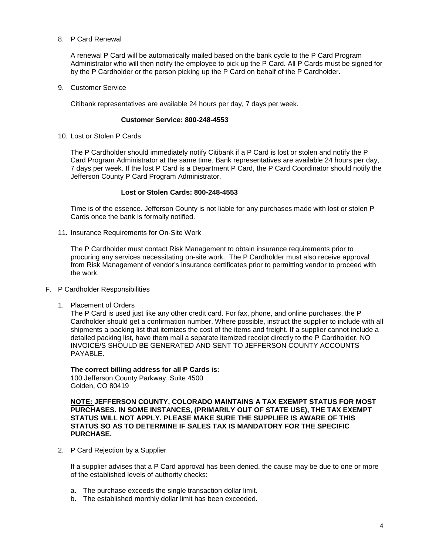8. P Card Renewal

A renewal P Card will be automatically mailed based on the bank cycle to the P Card Program Administrator who will then notify the employee to pick up the P Card. All P Cards must be signed for by the P Cardholder or the person picking up the P Card on behalf of the P Cardholder.

9. Customer Service

Citibank representatives are available 24 hours per day, 7 days per week.

#### **Customer Service: 800-248-4553**

10. Lost or Stolen P Cards

The P Cardholder should immediately notify Citibank if a P Card is lost or stolen and notify the P Card Program Administrator at the same time. Bank representatives are available 24 hours per day, 7 days per week. If the lost P Card is a Department P Card, the P Card Coordinator should notify the Jefferson County P Card Program Administrator.

#### **Lost or Stolen Cards: 800-248-4553**

Time is of the essence. Jefferson County is not liable for any purchases made with lost or stolen P Cards once the bank is formally notified.

11. Insurance Requirements for On-Site Work

The P Cardholder must contact Risk Management to obtain insurance requirements prior to procuring any services necessitating on-site work. The P Cardholder must also receive approval from Risk Management of vendor's insurance certificates prior to permitting vendor to proceed with the work.

- F. P Cardholder Responsibilities
	- 1. Placement of Orders

The P Card is used just like any other credit card. For fax, phone, and online purchases, the P Cardholder should get a confirmation number. Where possible, instruct the supplier to include with all shipments a packing list that itemizes the cost of the items and freight. If a supplier cannot include a detailed packing list, have them mail a separate itemized receipt directly to the P Cardholder. NO INVOICE/S SHOULD BE GENERATED AND SENT TO JEFFERSON COUNTY ACCOUNTS PAYABLE.

### **The correct billing address for all P Cards is:**

100 Jefferson County Parkway, Suite 4500 Golden, CO 80419

**NOTE: JEFFERSON COUNTY, COLORADO MAINTAINS A TAX EXEMPT STATUS FOR MOST PURCHASES. IN SOME INSTANCES, (PRIMARILY OUT OF STATE USE), THE TAX EXEMPT STATUS WILL NOT APPLY. PLEASE MAKE SURE THE SUPPLIER IS AWARE OF THIS STATUS SO AS TO DETERMINE IF SALES TAX IS MANDATORY FOR THE SPECIFIC PURCHASE.**

2. P Card Rejection by a Supplier

If a supplier advises that a P Card approval has been denied, the cause may be due to one or more of the established levels of authority checks:

- a. The purchase exceeds the single transaction dollar limit.
- b. The established monthly dollar limit has been exceeded.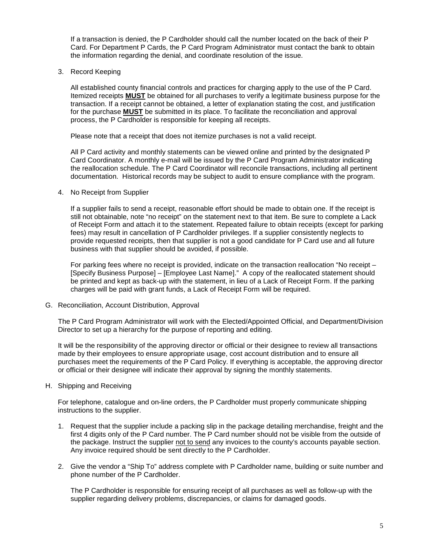If a transaction is denied, the P Cardholder should call the number located on the back of their P Card. For Department P Cards, the P Card Program Administrator must contact the bank to obtain the information regarding the denial, and coordinate resolution of the issue.

3. Record Keeping

All established county financial controls and practices for charging apply to the use of the P Card. Itemized receipts **MUST** be obtained for all purchases to verify a legitimate business purpose for the transaction. If a receipt cannot be obtained, a letter of explanation stating the cost, and justification for the purchase **MUST** be submitted in its place. To facilitate the reconciliation and approval process, the P Cardholder is responsible for keeping all receipts.

Please note that a receipt that does not itemize purchases is not a valid receipt.

All P Card activity and monthly statements can be viewed online and printed by the designated P Card Coordinator. A monthly e-mail will be issued by the P Card Program Administrator indicating the reallocation schedule. The P Card Coordinator will reconcile transactions, including all pertinent documentation. Historical records may be subject to audit to ensure compliance with the program.

### 4. No Receipt from Supplier

If a supplier fails to send a receipt, reasonable effort should be made to obtain one. If the receipt is still not obtainable, note "no receipt" on the statement next to that item. Be sure to complete a Lack of Receipt Form and attach it to the statement. Repeated failure to obtain receipts (except for parking fees) may result in cancellation of P Cardholder privileges. If a supplier consistently neglects to provide requested receipts, then that supplier is not a good candidate for P Card use and all future business with that supplier should be avoided, if possible.

For parking fees where no receipt is provided, indicate on the transaction reallocation "No receipt – [Specify Business Purpose] – [Employee Last Name]." A copy of the reallocated statement should be printed and kept as back-up with the statement, in lieu of a Lack of Receipt Form. If the parking charges will be paid with grant funds, a Lack of Receipt Form will be required.

G. Reconciliation, Account Distribution, Approval

The P Card Program Administrator will work with the Elected/Appointed Official, and Department/Division Director to set up a hierarchy for the purpose of reporting and editing.

It will be the responsibility of the approving director or official or their designee to review all transactions made by their employees to ensure appropriate usage, cost account distribution and to ensure all purchases meet the requirements of the P Card Policy. If everything is acceptable, the approving director or official or their designee will indicate their approval by signing the monthly statements.

H. Shipping and Receiving

For telephone, catalogue and on-line orders, the P Cardholder must properly communicate shipping instructions to the supplier.

- 1. Request that the supplier include a packing slip in the package detailing merchandise, freight and the first 4 digits only of the P Card number. The P Card number should not be visible from the outside of the package. Instruct the supplier not to send any invoices to the county's accounts payable section. Any invoice required should be sent directly to the P Cardholder.
- 2. Give the vendor a "Ship To" address complete with P Cardholder name, building or suite number and phone number of the P Cardholder.

The P Cardholder is responsible for ensuring receipt of all purchases as well as follow-up with the supplier regarding delivery problems, discrepancies, or claims for damaged goods.